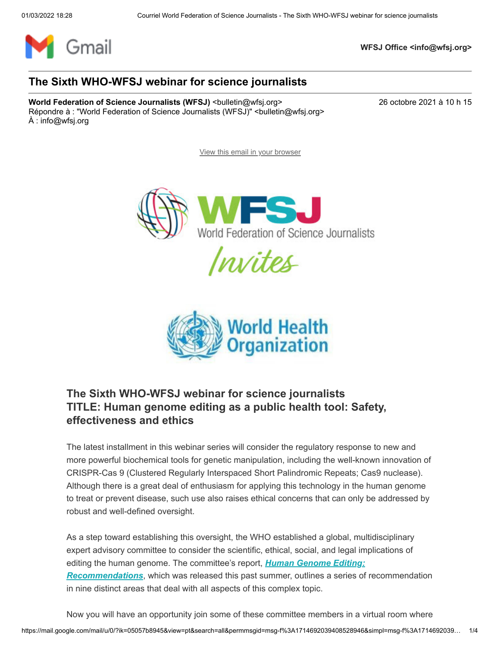

**WFSJ Office <info@wfsj.org>**

### **The Sixth WHO-WFSJ webinar for science journalists**

**World Federation of Science Journalists (WFSJ)** <br/>
<br/>
<br/>
<br/>
<br/>
<br/>
<br/>
<br/>
<br/>
<br/>
World Federation of Science Journalists (WFSJ) <br/>
<br/>
<br/>
<br/>
<br/>
<br/>
<br/>
<br/>
<br/>
<br/>
<br/> Répondre à : "World Federation of Science Journalists (WFSJ)" <br/>bulletin@wfsj.org> À : info@wfsj.org

[View this email in your browser](https://mailchi.mp/wfsj/the-fifth-who-wfsj-webinar-for-science-journalists-5665665?e=5575ecfde9)







# **The Sixth WHO-WFSJ webinar for science journalists TITLE: Human genome editing as a public health tool: Safety, effectiveness and ethics**

The latest installment in this webinar series will consider the regulatory response to new and more powerful biochemical tools for genetic manipulation, including the well-known innovation of CRISPR-Cas 9 (Clustered Regularly Interspaced Short Palindromic Repeats; Cas9 nuclease). Although there is a great deal of enthusiasm for applying this technology in the human genome to treat or prevent disease, such use also raises ethical concerns that can only be addressed by robust and well-defined oversight.

As a step toward establishing this oversight, the WHO established a global, multidisciplinary expert advisory committee to consider the scientific, ethical, social, and legal implications of editing the human genome. The committee's report, *Human Genome Editing: Recommendations*[, which was released this past summer, outlines a series of](https://wfsj.us2.list-manage.com/track/click?u=a8d11a901ac032467f5aed649&id=8c91fc04f6&e=5575ecfde9) recommendation in nine distinct areas that deal with all aspects of this complex topic.

https://mail.google.com/mail/u/0/?ik=05057b8945&view=pt&search=all&permmsgid=msg-f%3A1714692039408528946&simpl=msg-f%3A1714692039… 1/4 Now you will have an opportunity join some of these committee members in a virtual room where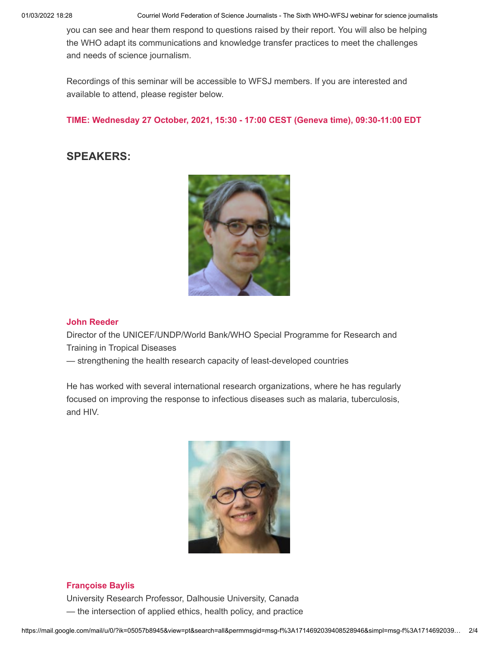01/03/2022 18:28 Courriel World Federation of Science Journalists - The Sixth WHO-WFSJ webinar for science journalists

you can see and hear them respond to questions raised by their report. You will also be helping the WHO adapt its communications and knowledge transfer practices to meet the challenges and needs of science journalism.

Recordings of this seminar will be accessible to WFSJ members. If you are interested and available to attend, please register below.

**TIME: Wednesday 27 October, 2021, 15:30 - 17:00 CEST (Geneva time), 09:30-11:00 EDT**

## **SPEAKERS:**



#### **John Reeder**

Director of the UNICEF/UNDP/World Bank/WHO Special Programme for Research and Training in Tropical Diseases

— strengthening the health research capacity of least-developed countries

He has worked with several international research organizations, where he has regularly focused on improving the response to infectious diseases such as malaria, tuberculosis, and HIV.



#### **Françoise Baylis**

University Research Professor, Dalhousie University, Canada — the intersection of applied ethics, health policy, and practice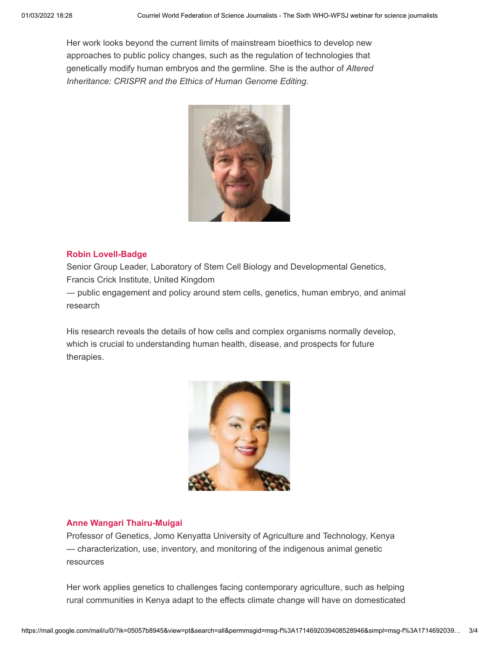Her work looks beyond the current limits of mainstream bioethics to develop new approaches to public policy changes, such as the regulation of technologies that genetically modify human embryos and the germline. She is the author of *Altered Inheritance: CRISPR and the Ethics of Human Genome Editing.*



#### **Robin Lovell-Badge**

Senior Group Leader, Laboratory of Stem Cell Biology and Developmental Genetics, Francis Crick Institute, United Kingdom

― public engagement and policy around stem cells, genetics, human embryo, and animal research

His research reveals the details of how cells and complex organisms normally develop, which is crucial to understanding human health, disease, and prospects for future therapies.



#### **Anne Wangari Thairu-Muigai**

Professor of Genetics, Jomo Kenyatta University of Agriculture and Technology, Kenya — characterization, use, inventory, and monitoring of the indigenous animal genetic resources

Her work applies genetics to challenges facing contemporary agriculture, such as helping rural communities in Kenya adapt to the effects climate change will have on domesticated